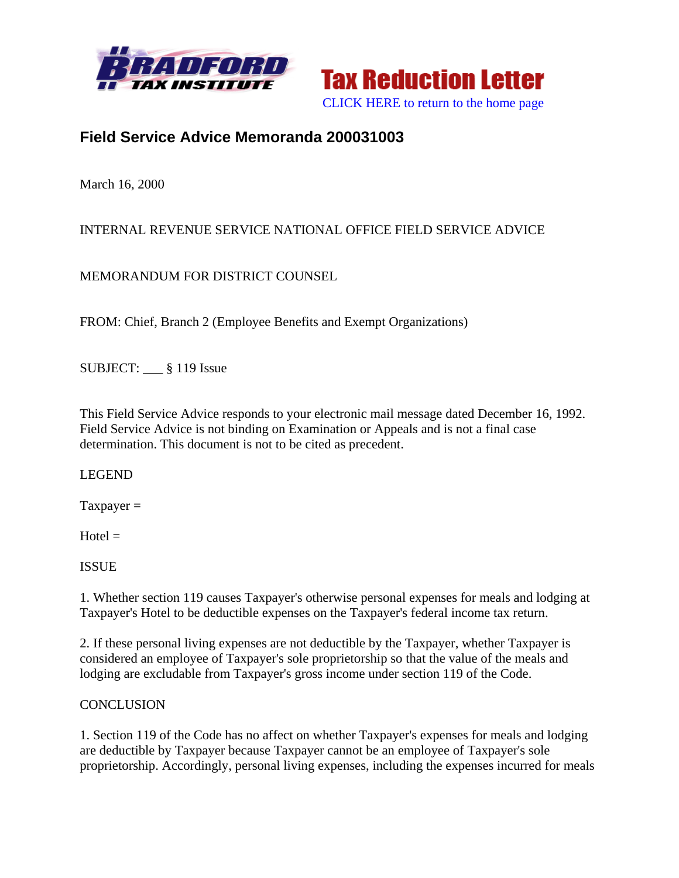



# **Field Service Advice Memoranda 200031003**

March 16, 2000

## INTERNAL REVENUE SERVICE NATIONAL OFFICE FIELD SERVICE ADVICE

MEMORANDUM FOR DISTRICT COUNSEL

FROM: Chief, Branch 2 (Employee Benefits and Exempt Organizations)

SUBJECT: \_\_\_ § 119 Issue

This Field Service Advice responds to your electronic mail message dated December 16, 1992. Field Service Advice is not binding on Examination or Appeals and is not a final case determination. This document is not to be cited as precedent.

#### LEGEND

 $T$ axpayer =

 $Hotel =$ 

ISSUE

1. Whether section 119 causes Taxpayer's otherwise personal expenses for meals and lodging at Taxpayer's Hotel to be deductible expenses on the Taxpayer's federal income tax return.

2. If these personal living expenses are not deductible by the Taxpayer, whether Taxpayer is considered an employee of Taxpayer's sole proprietorship so that the value of the meals and lodging are excludable from Taxpayer's gross income under section 119 of the Code.

#### **CONCLUSION**

1. Section 119 of the Code has no affect on whether Taxpayer's expenses for meals and lodging are deductible by Taxpayer because Taxpayer cannot be an employee of Taxpayer's sole proprietorship. Accordingly, personal living expenses, including the expenses incurred for meals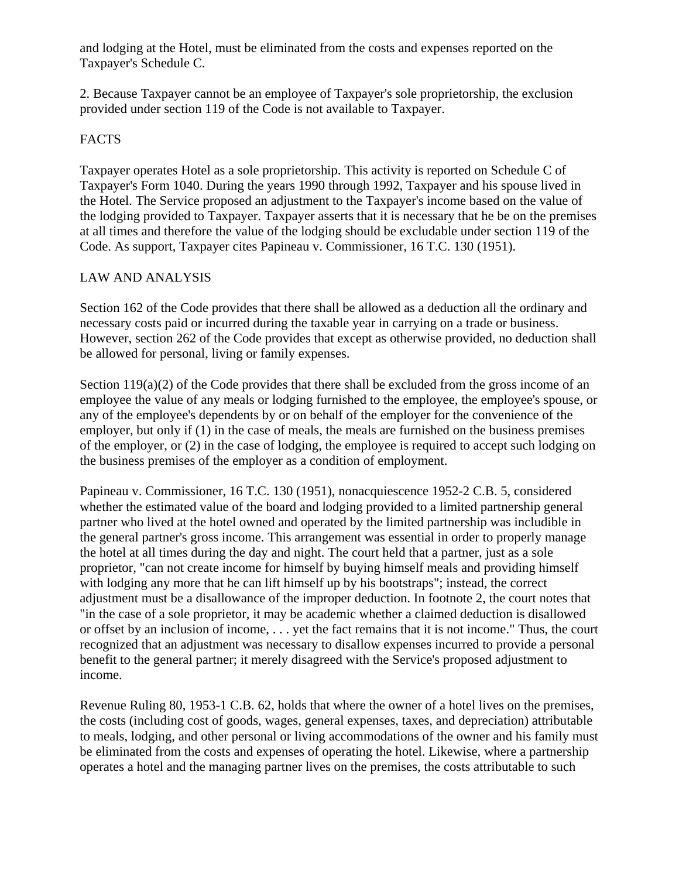and lodging at the Hotel, must be eliminated from the costs and expenses reported on the Taxpayer's Schedule C.

2. Because Taxpayer cannot be an employee of Taxpayer's sole proprietorship, the exclusion provided under section 119 of the Code is not available to Taxpayer.

#### FACTS

Taxpayer operates Hotel as a sole proprietorship. This activity is reported on Schedule C of Taxpayer's Form 1040. During the years 1990 through 1992, Taxpayer and his spouse lived in the Hotel. The Service proposed an adjustment to the Taxpayer's income based on the value of the lodging provided to Taxpayer. Taxpayer asserts that it is necessary that he be on the premises at all times and therefore the value of the lodging should be excludable under section 119 of the Code. As support, Taxpayer cites Papineau v. Commissioner, 16 T.C. 130 (1951).

### LAW AND ANALYSIS

Section 162 of the Code provides that there shall be allowed as a deduction all the ordinary and necessary costs paid or incurred during the taxable year in carrying on a trade or business. However, section 262 of the Code provides that except as otherwise provided, no deduction shall be allowed for personal, living or family expenses.

Section 119(a)(2) of the Code provides that there shall be excluded from the gross income of an employee the value of any meals or lodging furnished to the employee, the employee's spouse, or any of the employee's dependents by or on behalf of the employer for the convenience of the employer, but only if (1) in the case of meals, the meals are furnished on the business premises of the employer, or (2) in the case of lodging, the employee is required to accept such lodging on the business premises of the employer as a condition of employment.

Papineau v. Commissioner, 16 T.C. 130 (1951), nonacquiescence 1952-2 C.B. 5, considered whether the estimated value of the board and lodging provided to a limited partnership general partner who lived at the hotel owned and operated by the limited partnership was includible in the general partner's gross income. This arrangement was essential in order to properly manage the hotel at all times during the day and night. The court held that a partner, just as a sole proprietor, "can not create income for himself by buying himself meals and providing himself with lodging any more that he can lift himself up by his bootstraps"; instead, the correct adjustment must be a disallowance of the improper deduction. In footnote 2, the court notes that "in the case of a sole proprietor, it may be academic whether a claimed deduction is disallowed or offset by an inclusion of income, . . . yet the fact remains that it is not income." Thus, the court recognized that an adjustment was necessary to disallow expenses incurred to provide a personal benefit to the general partner; it merely disagreed with the Service's proposed adjustment to income.

Revenue Ruling 80, 1953-1 C.B. 62, holds that where the owner of a hotel lives on the premises, the costs (including cost of goods, wages, general expenses, taxes, and depreciation) attributable to meals, lodging, and other personal or living accommodations of the owner and his family must be eliminated from the costs and expenses of operating the hotel. Likewise, where a partnership operates a hotel and the managing partner lives on the premises, the costs attributable to such